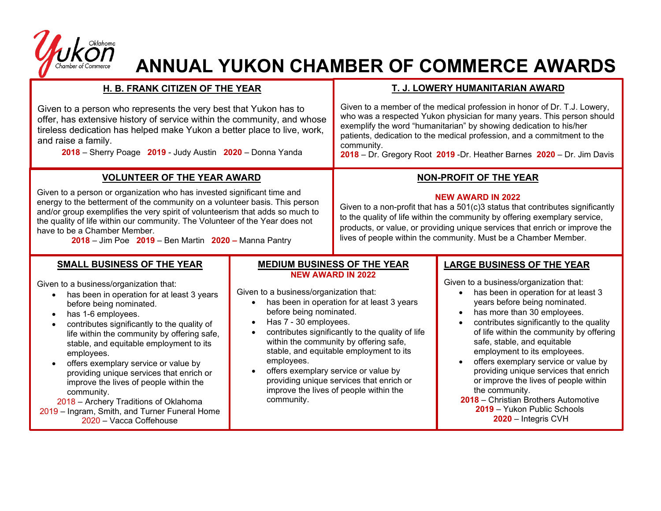

## **ANNUAL YUKON CHAMBER OF COMMERCE AWARDS**

## **H. B. FRANK CITIZEN OF THE YEAR** Given to a person who represents the very best that Yukon has to offer, has extensive history of service within the community, and whose tireless dedication has helped make Yukon a better place to live, work, and raise a family. **2018** – Sherry Poage **2019** - Judy Austin **2020** – Donna Yanda **T. J. LOWERY HUMANITARIAN AWARD** Given to a member of the medical profession in honor of Dr. T.J. Lowery, who was a respected Yukon physician for many years. This person should exemplify the word "humanitarian" by showing dedication to his/her patients, dedication to the medical profession, and a commitment to the community. **2018** – Dr. Gregory Root **2019** -Dr. Heather Barnes **2020** – Dr. Jim Davis **VOLUNTEER OF THE YEAR AWARD** Given to a person or organization who has invested significant time and energy to the betterment of the community on a volunteer basis. This person and/or group exemplifies the very spirit of volunteerism that adds so much to the quality of life within our community. The Volunteer of the Year does not have to be a Chamber Member. **2018** – Jim Poe **2019** – Ben Martin **2020 –** Manna Pantry **LARGE BUSINESS OF THE YEAR** Given to a business/organization that: • has been in operation for at least 3 years before being nominated. • has more than 30 employees. • contributes significantly to the quality of life within the community by offering safe, stable, and equitable employment to its employees. • offers exemplary service or value by providing unique services that enrich or improve the lives of people within the community. **2018** – Christian Brothers Automotive **SMALL BUSINESS OF THE YEAR** Given to a business/organization that: • has been in operation for at least 3 years before being nominated. • has 1-6 employees. • contributes significantly to the quality of life within the community by offering safe, stable, and equitable employment to its employees. • offers exemplary service or value by providing unique services that enrich or improve the lives of people within the community. 2018 – Archery Traditions of Oklahoma **NON-PROFIT OF THE YEAR NEW AWARD IN 2022** Given to a non-profit that has a  $501(c)3$  status that contributes significantly to the quality of life within the community by offering exemplary service, products, or value, or providing unique services that enrich or improve the lives of people within the community. Must be a Chamber Member. **MEDIUM BUSINESS OF THE YEAR NEW AWARD IN 2022** Given to a business/organization that: • has been in operation for at least 3 years before being nominated. • Has 7 - 30 employees. • contributes significantly to the quality of life within the community by offering safe, stable, and equitable employment to its employees. • offers exemplary service or value by providing unique services that enrich or improve the lives of people within the community.

2019 – Ingram, Smith, and Turner Funeral Home 2020 – Vacca Coffehouse

**2019** – Yukon Public Schools **2020** – Integris CVH